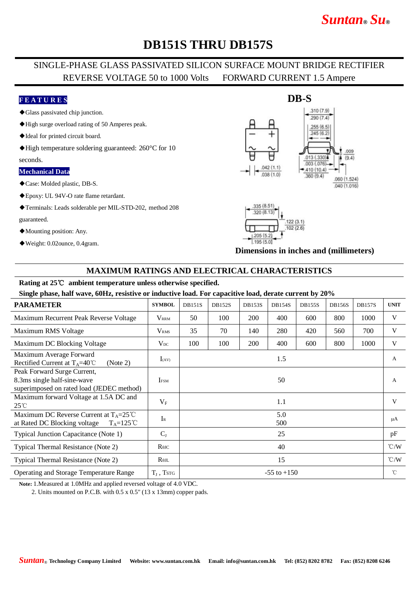# *Suntan***®** *Su***®**

## **DB151S THRU DB157S**

## SINGLE-PHASE GLASS PASSIVATED SILICON SURFACE MOUNT BRIDGE RECTIFIER REVERSE VOLTAGE 50 to 1000 Volts FORWARD CURRENT 1.5 Ampere

### **F E A T U R E S**

- ◆Glass passivated chip junction.
- ◆High surge overload rating of 50 Amperes peak.
- ◆Ideal for printed circuit board.
- ◆High temperature soldering guaranteed: 260°C for 10

#### seconds.

#### **Mechanical Data**

- ◆Case: Molded plastic, DB-S.
- ◆Epoxy: UL 94V-O rate flame retardant.
- ◆Terminals: Leads solderable per MIL-STD-202, method 208
- guaranteed.
- ◆Mounting position: Any.
- ◆Weight: 0.02ounce, 0.4gram.





**Dimensions in inches and (millimeters)**

### **MAXIMUM RATINGS AND ELECTRICAL CHARACTERISTICS**

#### **Rating at 25**℃ **ambient temperature unless otherwise specified.**

**Single phase, half wave, 60Hz, resistive or inductive load. For capacitive load, derate current by 20%**

| <b>PARAMETER</b>                                                                                          | <b>SYMBOL</b>           | <b>DB151S</b>   | <b>DB152S</b> | <b>DB153S</b> | <b>DB154S</b> | <b>DB155S</b> | <b>DB156S</b> | <b>DB157S</b> | <b>UNIT</b>        |
|-----------------------------------------------------------------------------------------------------------|-------------------------|-----------------|---------------|---------------|---------------|---------------|---------------|---------------|--------------------|
| Maximum Recurrent Peak Reverse Voltage                                                                    | <b>V</b> <sub>RRM</sub> | 50              | 100           | <b>200</b>    | 400           | 600           | 800           | 1000          | V                  |
| Maximum RMS Voltage                                                                                       | V <sub>RMS</sub>        | 35              | 70            | 140           | 280           | 420           | 560           | 700           | V                  |
| Maximum DC Blocking Voltage                                                                               | $V_{DC}$                | 100             | 100           | 200           | 400           | 600           | 800           | 1000          | V                  |
| Maximum Average Forward<br>Rectified Current at $T_A=40^{\circ}$ C<br>(Note 2)                            | $I_{(AV)}$              | 1.5             |               |               |               |               |               |               | A                  |
| Peak Forward Surge Current,<br>8.3ms single half-sine-wave<br>superimposed on rated load (JEDEC method)   | <b>IFSM</b>             | 50              |               |               |               |               |               |               | A                  |
| Maximum forward Voltage at 1.5A DC and<br>$25^{\circ}$ C                                                  | $V_{\rm F}$             | 1.1             |               |               |               |               |               |               | V                  |
| Maximum DC Reverse Current at $T_A = 25^{\circ}C$<br>at Rated DC Blocking voltage<br>$T_A = 125^{\circ}C$ | $I_{R}$                 | 5.0<br>500      |               |               |               |               |               |               | μA                 |
| Typical Junction Capacitance (Note 1)                                                                     | $C_{J}$                 | 25              |               |               |               |               |               |               | pF                 |
| Typical Thermal Resistance (Note 2)                                                                       | $R\theta$ JC            | 40              |               |               |               |               |               |               | $\rm ^{\circ}$ C/W |
| Typical Thermal Resistance (Note 2)                                                                       | $R_{\theta IL}$         | 15              |               |               |               |               |               |               | $\rm ^{\circ}$ C/W |
| <b>Operating and Storage Temperature Range</b>                                                            | $T_{J}$ , TstG          | $-55$ to $+150$ |               |               |               |               |               |               | °C                 |

**Note:** 1.Measured at 1.0MHz and applied reversed voltage of 4.0 VDC.

2. Units mounted on P.C.B. with 0.5 x 0.5" (13 x 13mm) copper pads.